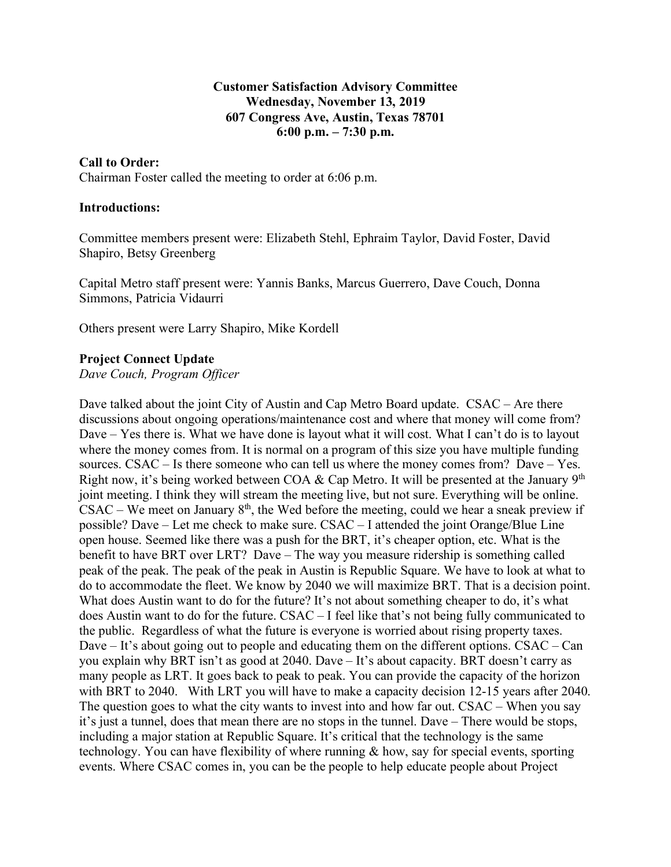#### **Customer Satisfaction Advisory Committee Wednesday, November 13, 2019 607 Congress Ave, Austin, Texas 78701 6:00 p.m. – 7:30 p.m.**

#### **Call to Order:**

Chairman Foster called the meeting to order at 6:06 p.m.

#### **Introductions:**

Committee members present were: Elizabeth Stehl, Ephraim Taylor, David Foster, David Shapiro, Betsy Greenberg

Capital Metro staff present were: Yannis Banks, Marcus Guerrero, Dave Couch, Donna Simmons, Patricia Vidaurri

Others present were Larry Shapiro, Mike Kordell

#### **Project Connect Update**

*Dave Couch, Program Officer*

Dave talked about the joint City of Austin and Cap Metro Board update. CSAC – Are there discussions about ongoing operations/maintenance cost and where that money will come from? Dave – Yes there is. What we have done is layout what it will cost. What I can't do is to layout where the money comes from. It is normal on a program of this size you have multiple funding sources. CSAC – Is there someone who can tell us where the money comes from? Dave – Yes. Right now, it's being worked between COA  $\&$  Cap Metro. It will be presented at the January 9<sup>th</sup> joint meeting. I think they will stream the meeting live, but not sure. Everything will be online. CSAC – We meet on January  $8<sup>th</sup>$ , the Wed before the meeting, could we hear a sneak preview if possible? Dave – Let me check to make sure. CSAC – I attended the joint Orange/Blue Line open house. Seemed like there was a push for the BRT, it's cheaper option, etc. What is the benefit to have BRT over LRT? Dave – The way you measure ridership is something called peak of the peak. The peak of the peak in Austin is Republic Square. We have to look at what to do to accommodate the fleet. We know by 2040 we will maximize BRT. That is a decision point. What does Austin want to do for the future? It's not about something cheaper to do, it's what does Austin want to do for the future. CSAC – I feel like that's not being fully communicated to the public. Regardless of what the future is everyone is worried about rising property taxes. Dave – It's about going out to people and educating them on the different options. CSAC – Can you explain why BRT isn't as good at 2040. Dave – It's about capacity. BRT doesn't carry as many people as LRT. It goes back to peak to peak. You can provide the capacity of the horizon with BRT to 2040. With LRT you will have to make a capacity decision 12-15 years after 2040. The question goes to what the city wants to invest into and how far out. CSAC – When you say it's just a tunnel, does that mean there are no stops in the tunnel. Dave – There would be stops, including a major station at Republic Square. It's critical that the technology is the same technology. You can have flexibility of where running & how, say for special events, sporting events. Where CSAC comes in, you can be the people to help educate people about Project